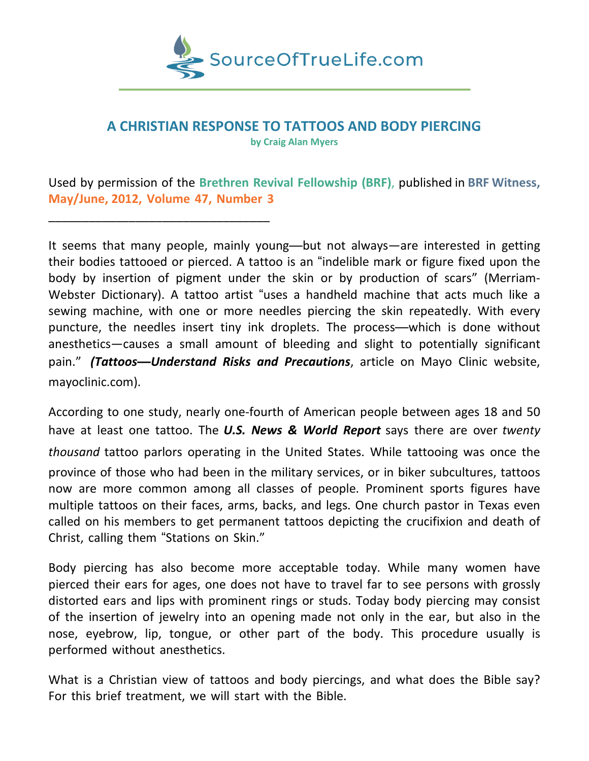

# **A CHRISTIAN RESPONSE TO TATTOOS AND BODY PIERCING**

**by Craig Alan Myers**

Used by permission of the **Brethren Revival Fellowship (BRF)**, published in **BRF Witness, May/June, 2012, Volume 47, Number 3**

\_\_\_\_\_\_\_\_\_\_\_\_\_\_\_\_\_\_\_\_\_\_\_\_\_\_\_\_\_\_\_\_\_

It seems that many people, mainly young—but not always—are interested in getting their bodies tattooed or pierced. A tattoo is an "indelible mark or figure fixed upon the body by insertion of pigment under the skin or by production of scars" (Merriam-Webster Dictionary). A tattoo artist "uses a handheld machine that acts much like a sewing machine, with one or more needles piercing the skin repeatedly. With every puncture, the needles insert tiny ink droplets. The process—which is done without anesthetics—causes a small amount of bleeding and slight to potentially significant pain." *(Tattoos—Understand Risks and Precautions*, article on Mayo Clinic website, mayoclinic.com).

According to one study, nearly one-fourth of American people between ages 18 and 50 have at least one tattoo. The *U.S. News & World Report* says there are over *twenty thousand* tattoo parlors operating in the United States. While tattooing was once the province of those who had been in the military services, or in biker subcultures, tattoos now are more common among all classes of people. Prominent sports figures have multiple tattoos on their faces, arms, backs, and legs. One church pastor in Texas even called on his members to get permanent tattoos depicting the crucifixion and death of Christ, calling them "Stations on Skin."

Body piercing has also become more acceptable today. While many women have pierced their ears for ages, one does not have to travel far to see persons with grossly distorted ears and lips with prominent rings or studs. Today body piercing may consist of the insertion of jewelry into an opening made not only in the ear, but also in the nose, eyebrow, lip, tongue, or other part of the body. This procedure usually is performed without anesthetics.

What is a Christian view of tattoos and body piercings, and what does the Bible say? For this brief treatment, we will start with the Bible.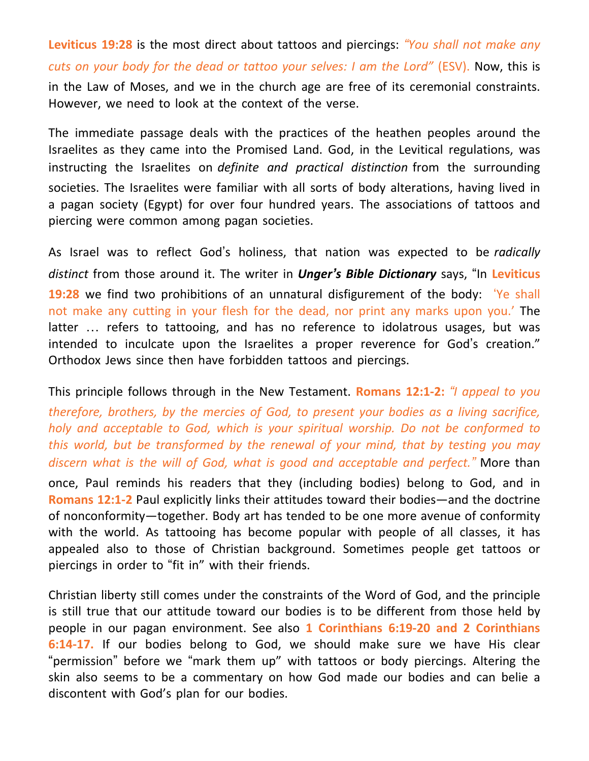**Leviticus 19:28** is the most direct about tattoos and piercings: *"You shall not make any cuts on your body for the dead or tattoo your selves: I am the Lord"* (ESV). Now, this is in the Law of Moses, and we in the church age are free of its ceremonial constraints. However, we need to look at the context of the verse.

The immediate passage deals with the practices of the heathen peoples around the Israelites as they came into the Promised Land. God, in the Levitical regulations, was instructing the Israelites on *definite and practical distinction* from the surrounding societies. The Israelites were familiar with all sorts of body alterations, having lived in a pagan society (Egypt) for over four hundred years. The associations of tattoos and piercing were common among pagan societies.

As Israel was to reflect God's holiness, that nation was expected to be *radically distinct* from those around it. The writer in *Unger's Bible Dictionary* says, "In **Leviticus 19:28** we find two prohibitions of an unnatural disfigurement of the body: 'Ye shall not make any cutting in your flesh for the dead, nor print any marks upon you.' The latter … refers to tattooing, and has no reference to idolatrous usages, but was intended to inculcate upon the Israelites a proper reverence for God's creation." Orthodox Jews since then have forbidden tattoos and piercings.

This principle follows through in the New Testament. **Romans 12:1-2:** *"I appeal to you*

*therefore, brothers, by the mercies of God, to present your bodies as a living sacrifice, holy and acceptable to God, which is your spiritual worship. Do not be conformed to this world, but be transformed by the renewal of your mind, that by testing you may discern what is the will of God, what is good and acceptable and perfect."* More than

once, Paul reminds his readers that they (including bodies) belong to God, and in **Romans 12:1-2** Paul explicitly links their attitudes toward their bodies—and the doctrine of nonconformity—together. Body art has tended to be one more avenue of conformity with the world. As tattooing has become popular with people of all classes, it has appealed also to those of Christian background. Sometimes people get tattoos or piercings in order to "fit in" with their friends.

Christian liberty still comes under the constraints of the Word of God, and the principle is still true that our attitude toward our bodies is to be different from those held by people in our pagan environment. See also **1 Corinthians 6:19-20 and 2 Corinthians 6:14-17.** If our bodies belong to God, we should make sure we have His clear "permission" before we "mark them up" with tattoos or body piercings. Altering the skin also seems to be a commentary on how God made our bodies and can belie a discontent with God's plan for our bodies.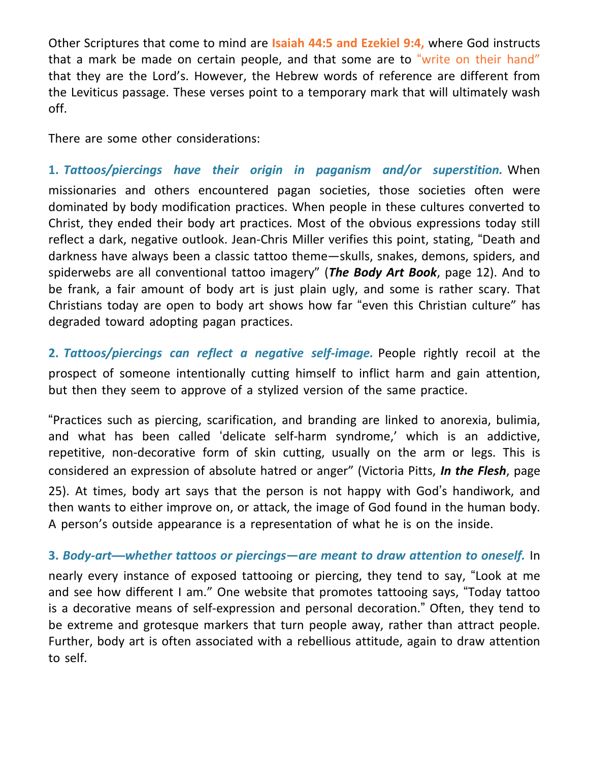Other Scriptures that come to mind are **Isaiah 44:5 and Ezekiel 9:4,** where God instructs that a mark be made on certain people, and that some are to "write on their hand" that they are the Lord's. However, the Hebrew words of reference are different from the Leviticus passage. These verses point to a temporary mark that will ultimately wash off.

There are some other considerations:

**1.** *Tattoos/piercings have their origin in paganism and/or superstition.* When missionaries and others encountered pagan societies, those societies often were dominated by body modification practices. When people in these cultures converted to Christ, they ended their body art practices. Most of the obvious expressions today still reflect a dark, negative outlook. Jean-Chris Miller verifies this point, stating, "Death and darkness have always been a classic tattoo theme—skulls, snakes, demons, spiders, and spiderwebs are all conventional tattoo imagery" (*The Body Art Book*, page 12). And to be frank, a fair amount of body art is just plain ugly, and some is rather scary. That Christians today are open to body art shows how far "even this Christian culture" has degraded toward adopting pagan practices.

**2.** *Tattoos/piercings can reflect a negative self-image.* People rightly recoil at the prospect of someone intentionally cutting himself to inflict harm and gain attention, but then they seem to approve of a stylized version of the same practice.

"Practices such as piercing, scarification, and branding are linked to anorexia, bulimia, and what has been called 'delicate self-harm syndrome,' which is an addictive, repetitive, non-decorative form of skin cutting, usually on the arm or legs. This is considered an expression of absolute hatred or anger" (Victoria Pitts, *In the Flesh*, page 25). At times, body art says that the person is not happy with God's handiwork, and then wants to either improve on, or attack, the image of God found in the human body. A person's outside appearance is a representation of what he is on the inside.

**3.** *Body-art—whether tattoos or piercings—are meant to draw attention to oneself.* In nearly every instance of exposed tattooing or piercing, they tend to say, "Look at me and see how different I am." One website that promotes tattooing says, "Today tattoo is a decorative means of self-expression and personal decoration." Often, they tend to be extreme and grotesque markers that turn people away, rather than attract people. Further, body art is often associated with a rebellious attitude, again to draw attention to self.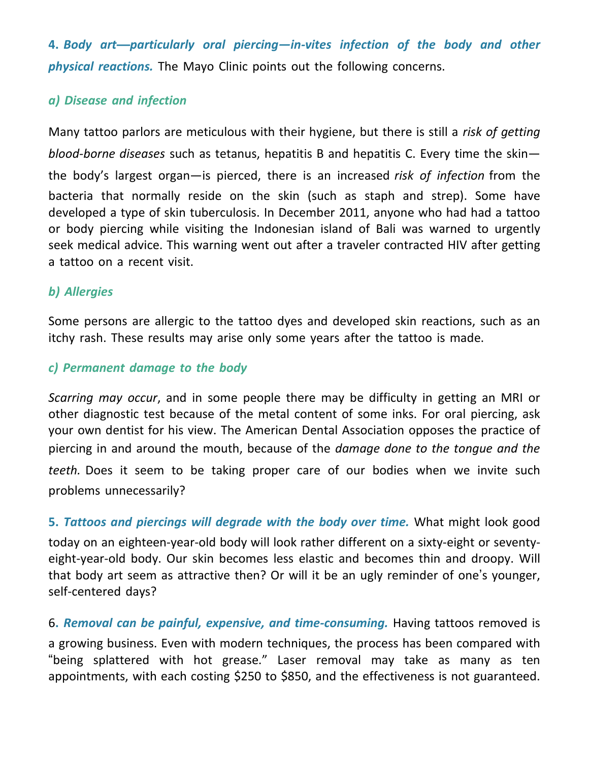**4.** *Body art—particularly oral piercing—in-vites infection of the body and other physical reactions.* The Mayo Clinic points out the following concerns.

#### *a) Disease and infection*

Many tattoo parlors are meticulous with their hygiene, but there is still a *risk of getting blood-borne diseases* such as tetanus, hepatitis B and hepatitis C. Every time the skin the body's largest organ—is pierced, there is an increased *risk of infection* from the bacteria that normally reside on the skin (such as staph and strep). Some have developed a type of skin tuberculosis. In December 2011, anyone who had had a tattoo or body piercing while visiting the Indonesian island of Bali was warned to urgently seek medical advice. This warning went out after a traveler contracted HIV after getting a tattoo on a recent visit.

## *b) Allergies*

Some persons are allergic to the tattoo dyes and developed skin reactions, such as an itchy rash. These results may arise only some years after the tattoo is made.

## *c) Permanent damage to the body*

*Scarring may occur*, and in some people there may be difficulty in getting an MRI or other diagnostic test because of the metal content of some inks. For oral piercing, ask your own dentist for his view. The American Dental Association opposes the practice of piercing in and around the mouth, because of the *damage done to the tongue and the teeth.* Does it seem to be taking proper care of our bodies when we invite such problems unnecessarily?

**5.** *Tattoos and piercings will degrade with the body over time.* What might look good today on an eighteen-year-old body will look rather different on a sixty-eight or seventyeight-year-old body. Our skin becomes less elastic and becomes thin and droopy. Will that body art seem as attractive then? Or will it be an ugly reminder of one's younger, self-centered days?

6**.** *Removal can be painful, expensive, and time-consuming.* Having tattoos removed is a growing business. Even with modern techniques, the process has been compared with "being splattered with hot grease." Laser removal may take as many as ten appointments, with each costing \$250 to \$850, and the effectiveness is not guaranteed.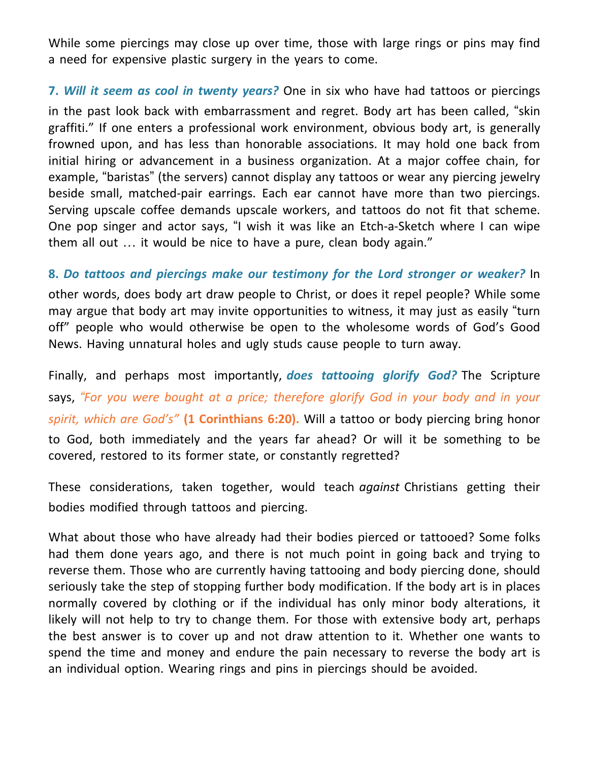While some piercings may close up over time, those with large rings or pins may find a need for expensive plastic surgery in the years to come.

**7.** *Will it seem as cool in twenty years?* One in six who have had tattoos or piercings in the past look back with embarrassment and regret. Body art has been called, "skin graffiti." If one enters a professional work environment, obvious body art, is generally frowned upon, and has less than honorable associations. It may hold one back from initial hiring or advancement in a business organization. At a major coffee chain, for example, "baristas" (the servers) cannot display any tattoos or wear any piercing jewelry beside small, matched-pair earrings. Each ear cannot have more than two piercings. Serving upscale coffee demands upscale workers, and tattoos do not fit that scheme. One pop singer and actor says, "I wish it was like an Etch-a-Sketch where I can wipe them all out … it would be nice to have a pure, clean body again."

#### **8.** *Do tattoos and piercings make our testimony for the Lord stronger or weaker?* In

other words, does body art draw people to Christ, or does it repel people? While some may argue that body art may invite opportunities to witness, it may just as easily "turn off" people who would otherwise be open to the wholesome words of God's Good News. Having unnatural holes and ugly studs cause people to turn away.

Finally, and perhaps most importantly, *does tattooing glorify God?* The Scripture says, *"For you were bought at a price; therefore glorify God in your body and in your spirit, which are God's"* **(1 Corinthians 6:20).** Will a tattoo or body piercing bring honor to God, both immediately and the years far ahead? Or will it be something to be covered, restored to its former state, or constantly regretted?

These considerations, taken together, would teach *against* Christians getting their bodies modified through tattoos and piercing.

What about those who have already had their bodies pierced or tattooed? Some folks had them done years ago, and there is not much point in going back and trying to reverse them. Those who are currently having tattooing and body piercing done, should seriously take the step of stopping further body modification. If the body art is in places normally covered by clothing or if the individual has only minor body alterations, it likely will not help to try to change them. For those with extensive body art, perhaps the best answer is to cover up and not draw attention to it. Whether one wants to spend the time and money and endure the pain necessary to reverse the body art is an individual option. Wearing rings and pins in piercings should be avoided.